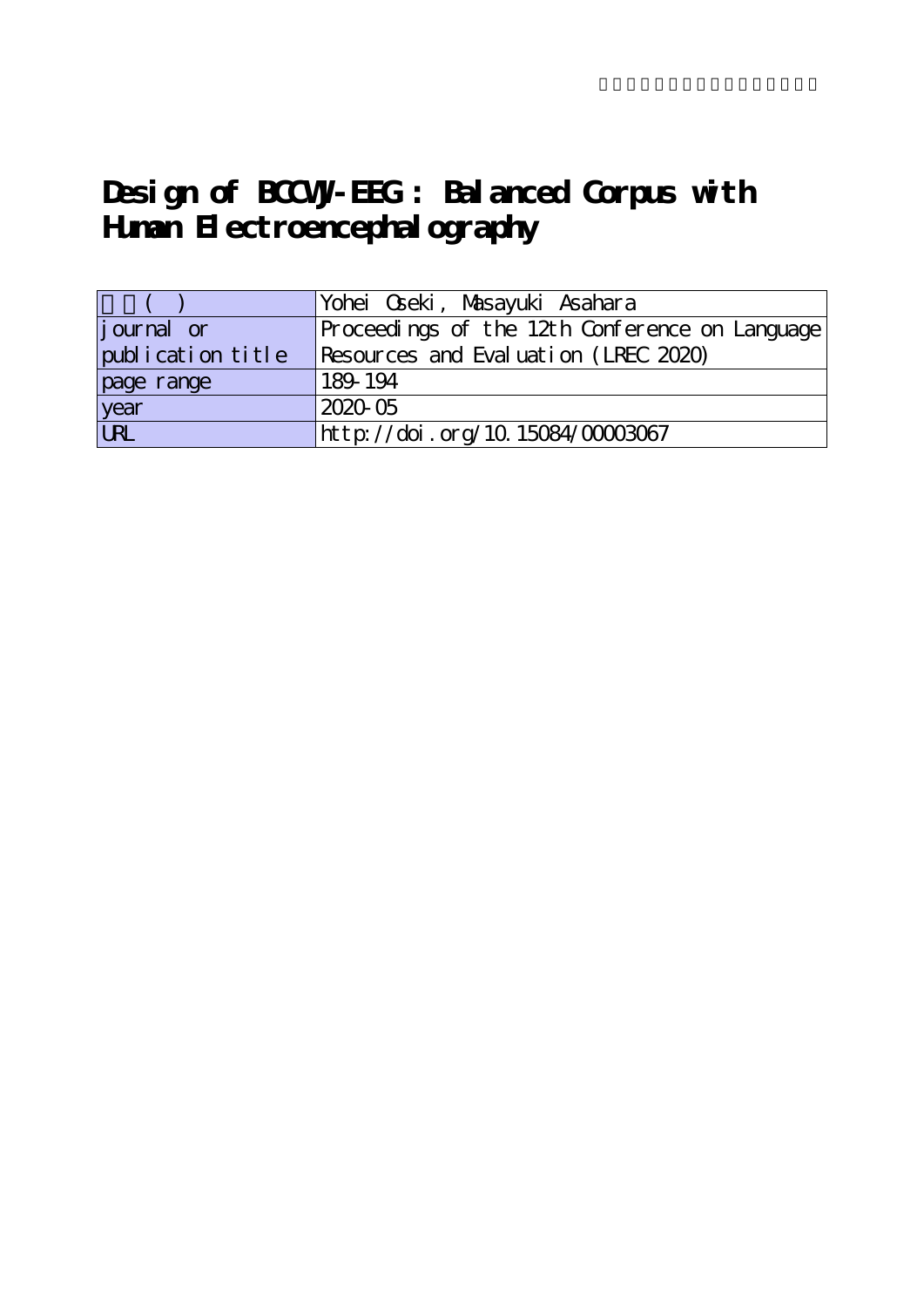# **Design of BCCWJ-EEG : Balanced Corpus with Human Electroencephalography**

|                   | Yohei Qseki, Masayuki Asahara                  |
|-------------------|------------------------------------------------|
| journal or        | Proceedings of the 12th Conference on Language |
| publication title | Resources and Evaluation (LREC 2020)           |
| page range        | 189-194                                        |
| year              | 2020-05                                        |
| URL               | http://doi.org/10.15084/00003067               |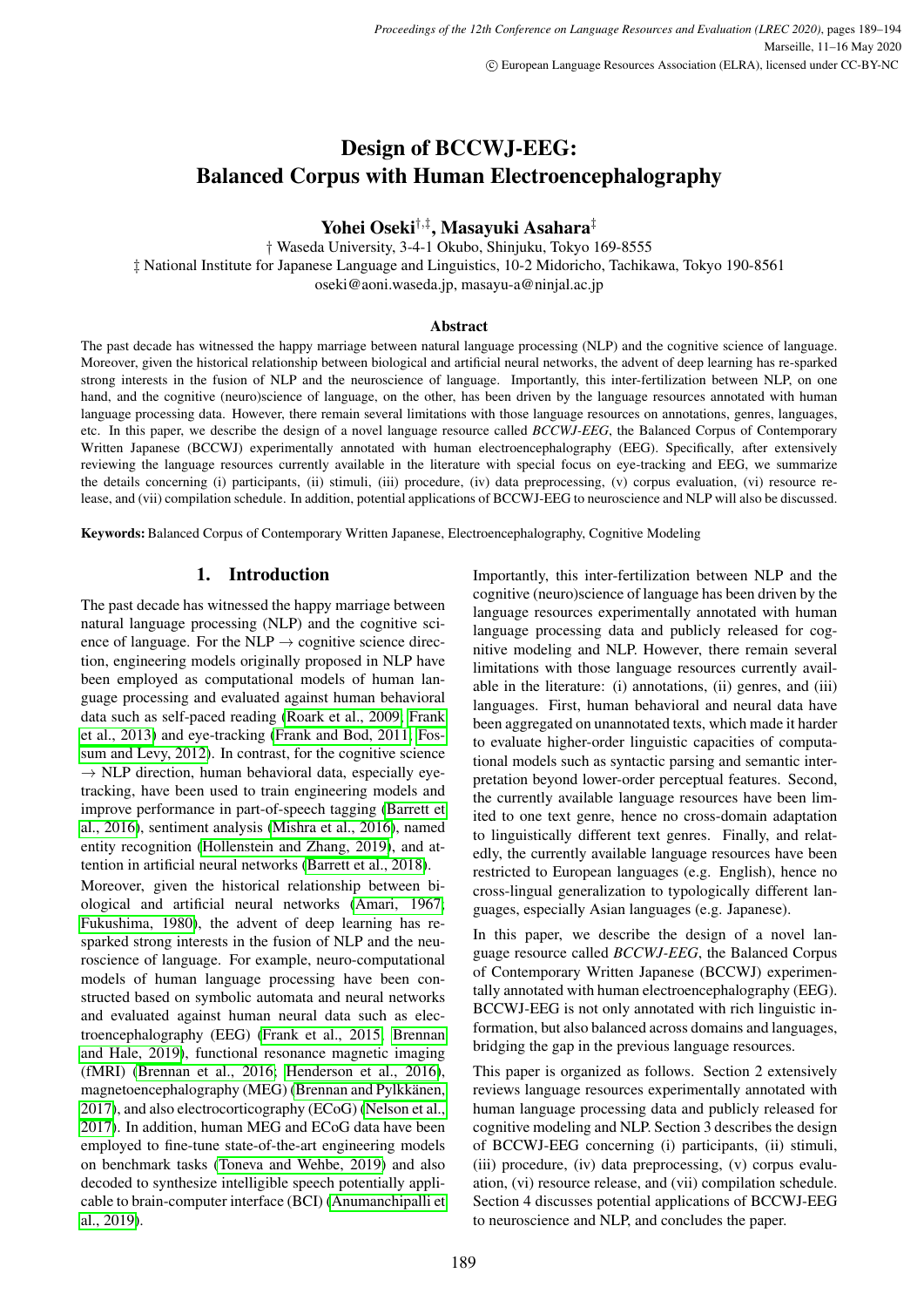# Design of BCCWJ-EEG: Balanced Corpus with Human Electroencephalography

Yohei Oseki†,‡ , Masayuki Asahara‡

† Waseda University, 3-4-1 Okubo, Shinjuku, Tokyo 169-8555 ‡ National Institute for Japanese Language and Linguistics, 10-2 Midoricho, Tachikawa, Tokyo 190-8561 oseki@aoni.waseda.jp, masayu-a@ninjal.ac.jp

#### Abstract

The past decade has witnessed the happy marriage between natural language processing (NLP) and the cognitive science of language. Moreover, given the historical relationship between biological and artificial neural networks, the advent of deep learning has re-sparked strong interests in the fusion of NLP and the neuroscience of language. Importantly, this inter-fertilization between NLP, on one hand, and the cognitive (neuro)science of language, on the other, has been driven by the language resources annotated with human language processing data. However, there remain several limitations with those language resources on annotations, genres, languages, etc. In this paper, we describe the design of a novel language resource called *BCCWJ-EEG*, the Balanced Corpus of Contemporary Written Japanese (BCCWJ) experimentally annotated with human electroencephalography (EEG). Specifically, after extensively reviewing the language resources currently available in the literature with special focus on eye-tracking and EEG, we summarize the details concerning (i) participants, (ii) stimuli, (iii) procedure, (iv) data preprocessing, (v) corpus evaluation, (vi) resource release, and (vii) compilation schedule. In addition, potential applications of BCCWJ-EEG to neuroscience and NLP will also be discussed.

Keywords: Balanced Corpus of Contemporary Written Japanese, Electroencephalography, Cognitive Modeling

#### 1. Introduction

The past decade has witnessed the happy marriage between natural language processing (NLP) and the cognitive science of language. For the NLP  $\rightarrow$  cognitive science direction, engineering models originally proposed in NLP have been employed as computational models of human language processing and evaluated against human behavioral data such as self-paced reading [\(Roark et al., 2009;](#page-6-0) [Frank](#page-5-0) [et al., 2013\)](#page-5-0) and eye-tracking [\(Frank and Bod, 2011;](#page-5-1) [Fos](#page-5-2)[sum and Levy, 2012\)](#page-5-2). In contrast, for the cognitive science  $\rightarrow$  NLP direction, human behavioral data, especially eyetracking, have been used to train engineering models and improve performance in part-of-speech tagging [\(Barrett et](#page-5-3) [al., 2016\)](#page-5-3), sentiment analysis [\(Mishra et al., 2016\)](#page-6-1), named entity recognition [\(Hollenstein and Zhang, 2019\)](#page-5-4), and attention in artificial neural networks [\(Barrett et al., 2018\)](#page-5-5).

Moreover, given the historical relationship between biological and artificial neural networks [\(Amari, 1967;](#page-5-6) [Fukushima, 1980\)](#page-5-7), the advent of deep learning has resparked strong interests in the fusion of NLP and the neuroscience of language. For example, neuro-computational models of human language processing have been constructed based on symbolic automata and neural networks and evaluated against human neural data such as electroencephalography (EEG) [\(Frank et al., 2015;](#page-5-8) [Brennan](#page-5-9) [and Hale, 2019\)](#page-5-9), functional resonance magnetic imaging (fMRI) [\(Brennan et al., 2016;](#page-5-10) [Henderson et al., 2016\)](#page-5-11), magnetoencephalography (MEG) (Brennan and Pylkkänen, [2017\)](#page-5-12), and also electrocorticography (ECoG) [\(Nelson et al.,](#page-6-2) [2017\)](#page-6-2). In addition, human MEG and ECoG data have been employed to fine-tune state-of-the-art engineering models on benchmark tasks [\(Toneva and Wehbe, 2019\)](#page-6-3) and also decoded to synthesize intelligible speech potentially applicable to brain-computer interface (BCI) [\(Anumanchipalli et](#page-5-13) [al., 2019\)](#page-5-13).

Importantly, this inter-fertilization between NLP and the cognitive (neuro)science of language has been driven by the language resources experimentally annotated with human language processing data and publicly released for cognitive modeling and NLP. However, there remain several limitations with those language resources currently available in the literature: (i) annotations, (ii) genres, and (iii) languages. First, human behavioral and neural data have been aggregated on unannotated texts, which made it harder to evaluate higher-order linguistic capacities of computational models such as syntactic parsing and semantic interpretation beyond lower-order perceptual features. Second, the currently available language resources have been limited to one text genre, hence no cross-domain adaptation to linguistically different text genres. Finally, and relatedly, the currently available language resources have been restricted to European languages (e.g. English), hence no cross-lingual generalization to typologically different languages, especially Asian languages (e.g. Japanese).

In this paper, we describe the design of a novel language resource called *BCCWJ-EEG*, the Balanced Corpus of Contemporary Written Japanese (BCCWJ) experimentally annotated with human electroencephalography (EEG). BCCWJ-EEG is not only annotated with rich linguistic information, but also balanced across domains and languages, bridging the gap in the previous language resources.

This paper is organized as follows. Section 2 extensively reviews language resources experimentally annotated with human language processing data and publicly released for cognitive modeling and NLP. Section 3 describes the design of BCCWJ-EEG concerning (i) participants, (ii) stimuli, (iii) procedure, (iv) data preprocessing, (v) corpus evaluation, (vi) resource release, and (vii) compilation schedule. Section 4 discusses potential applications of BCCWJ-EEG to neuroscience and NLP, and concludes the paper.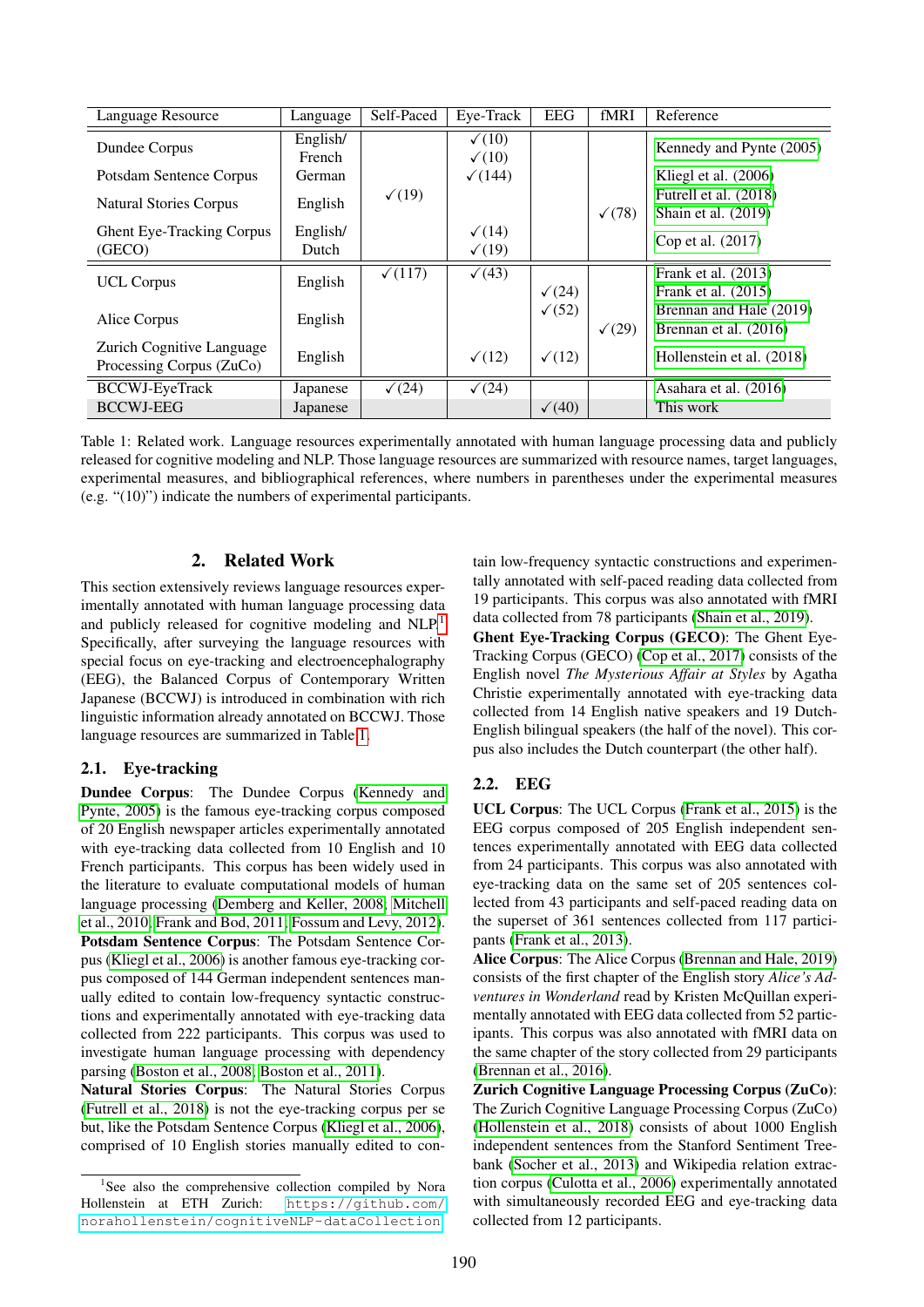| Language Resource                | Language | Self-Paced     | Eye-Track         | <b>EEG</b>        | fMRI          | Reference                 |
|----------------------------------|----------|----------------|-------------------|-------------------|---------------|---------------------------|
| Dundee Corpus                    | English/ |                | $\checkmark$ (10) |                   |               | Kennedy and Pynte (2005)  |
|                                  | French   |                | $\checkmark$ (10) |                   |               |                           |
| Potsdam Sentence Corpus          | German   |                | $\sqrt{(144)}$    |                   |               | Kliegl et al. (2006)      |
| <b>Natural Stories Corpus</b>    | English  | $\sqrt{(19)}$  |                   |                   |               | Futrell et al. (2018)     |
|                                  |          |                |                   |                   | $\sqrt{(78)}$ | Shain et al. $(2019)$     |
| <b>Ghent Eye-Tracking Corpus</b> | English/ |                | $\sqrt{(14)}$     |                   |               | Cop et al. (2017)         |
| (GECO)                           | Dutch    |                | $\sqrt{(19)}$     |                   |               |                           |
| <b>UCL Corpus</b>                | English  | $\sqrt{(117)}$ | $\sqrt{(43)}$     |                   |               | Frank et al. (2013)       |
|                                  |          |                |                   | $\sqrt{(24)}$     |               | Frank et al. $(2015)$     |
| Alice Corpus                     | English  |                |                   | $\sqrt{(52)}$     |               | Brennan and Hale (2019)   |
|                                  |          |                |                   |                   | $\sqrt{(29)}$ | Brennan et al. (2016)     |
| Zurich Cognitive Language        | English  |                | $\sqrt{(12)}$     | $\checkmark$ (12) |               | Hollenstein et al. (2018) |
| Processing Corpus (ZuCo)         |          |                |                   |                   |               |                           |
| <b>BCCWJ-EyeTrack</b>            | Japanese | $\sqrt{(24)}$  | $\sqrt{(24)}$     |                   |               | Asahara et al. (2016)     |
| <b>BCCWJ-EEG</b>                 | Japanese |                |                   | $\sqrt{(40)}$     |               | This work                 |

<span id="page-2-1"></span>Table 1: Related work. Language resources experimentally annotated with human language processing data and publicly released for cognitive modeling and NLP. Those language resources are summarized with resource names, target languages, experimental measures, and bibliographical references, where numbers in parentheses under the experimental measures (e.g. "(10)") indicate the numbers of experimental participants.

#### 2. Related Work

This section extensively reviews language resources experimentally annotated with human language processing data and publicly released for cognitive modeling and NLP.<sup>[1](#page-2-0)</sup> Specifically, after surveying the language resources with special focus on eye-tracking and electroencephalography (EEG), the Balanced Corpus of Contemporary Written Japanese (BCCWJ) is introduced in combination with rich linguistic information already annotated on BCCWJ. Those language resources are summarized in Table [1.](#page-2-1)

#### 2.1. Eye-tracking

Dundee Corpus: The Dundee Corpus [\(Kennedy and](#page-5-14) [Pynte, 2005\)](#page-5-14) is the famous eye-tracking corpus composed of 20 English newspaper articles experimentally annotated with eye-tracking data collected from 10 English and 10 French participants. This corpus has been widely used in the literature to evaluate computational models of human language processing [\(Demberg and Keller, 2008;](#page-5-20) [Mitchell](#page-6-5) [et al., 2010;](#page-6-5) [Frank and Bod, 2011;](#page-5-1) [Fossum and Levy, 2012\)](#page-5-2). Potsdam Sentence Corpus: The Potsdam Sentence Corpus [\(Kliegl et al., 2006\)](#page-5-15) is another famous eye-tracking corpus composed of 144 German independent sentences manually edited to contain low-frequency syntactic constructions and experimentally annotated with eye-tracking data collected from 222 participants. This corpus was used to investigate human language processing with dependency parsing [\(Boston et al., 2008;](#page-5-21) [Boston et al., 2011\)](#page-5-22).

Natural Stories Corpus: The Natural Stories Corpus [\(Futrell et al., 2018\)](#page-5-16) is not the eye-tracking corpus per se but, like the Potsdam Sentence Corpus [\(Kliegl et al., 2006\)](#page-5-15), comprised of 10 English stories manually edited to contain low-frequency syntactic constructions and experimentally annotated with self-paced reading data collected from 19 participants. This corpus was also annotated with fMRI data collected from 78 participants [\(Shain et al., 2019\)](#page-6-4).

Ghent Eye-Tracking Corpus (GECO): The Ghent Eye-Tracking Corpus (GECO) [\(Cop et al., 2017\)](#page-5-17) consists of the English novel *The Mysterious Affair at Styles* by Agatha Christie experimentally annotated with eye-tracking data collected from 14 English native speakers and 19 Dutch-English bilingual speakers (the half of the novel). This corpus also includes the Dutch counterpart (the other half).

# 2.2. EEG

UCL Corpus: The UCL Corpus [\(Frank et al., 2015\)](#page-5-8) is the EEG corpus composed of 205 English independent sentences experimentally annotated with EEG data collected from 24 participants. This corpus was also annotated with eye-tracking data on the same set of 205 sentences collected from 43 participants and self-paced reading data on the superset of 361 sentences collected from 117 participants [\(Frank et al., 2013\)](#page-5-0).

Alice Corpus: The Alice Corpus [\(Brennan and Hale, 2019\)](#page-5-9) consists of the first chapter of the English story *Alice's Adventures in Wonderland* read by Kristen McQuillan experimentally annotated with EEG data collected from 52 participants. This corpus was also annotated with fMRI data on the same chapter of the story collected from 29 participants [\(Brennan et al., 2016\)](#page-5-10).

Zurich Cognitive Language Processing Corpus (ZuCo): The Zurich Cognitive Language Processing Corpus (ZuCo) [\(Hollenstein et al., 2018\)](#page-5-18) consists of about 1000 English independent sentences from the Stanford Sentiment Treebank [\(Socher et al., 2013\)](#page-6-6) and Wikipedia relation extraction corpus [\(Culotta et al., 2006\)](#page-5-23) experimentally annotated with simultaneously recorded EEG and eye-tracking data collected from 12 participants.

<span id="page-2-0"></span><sup>&</sup>lt;sup>1</sup>See also the comprehensive collection compiled by Nora Hollenstein at ETH Zurich: [https://github.com/](https://github.com/norahollenstein/cognitiveNLP-dataCollection) [norahollenstein/cognitiveNLP-dataCollection](https://github.com/norahollenstein/cognitiveNLP-dataCollection).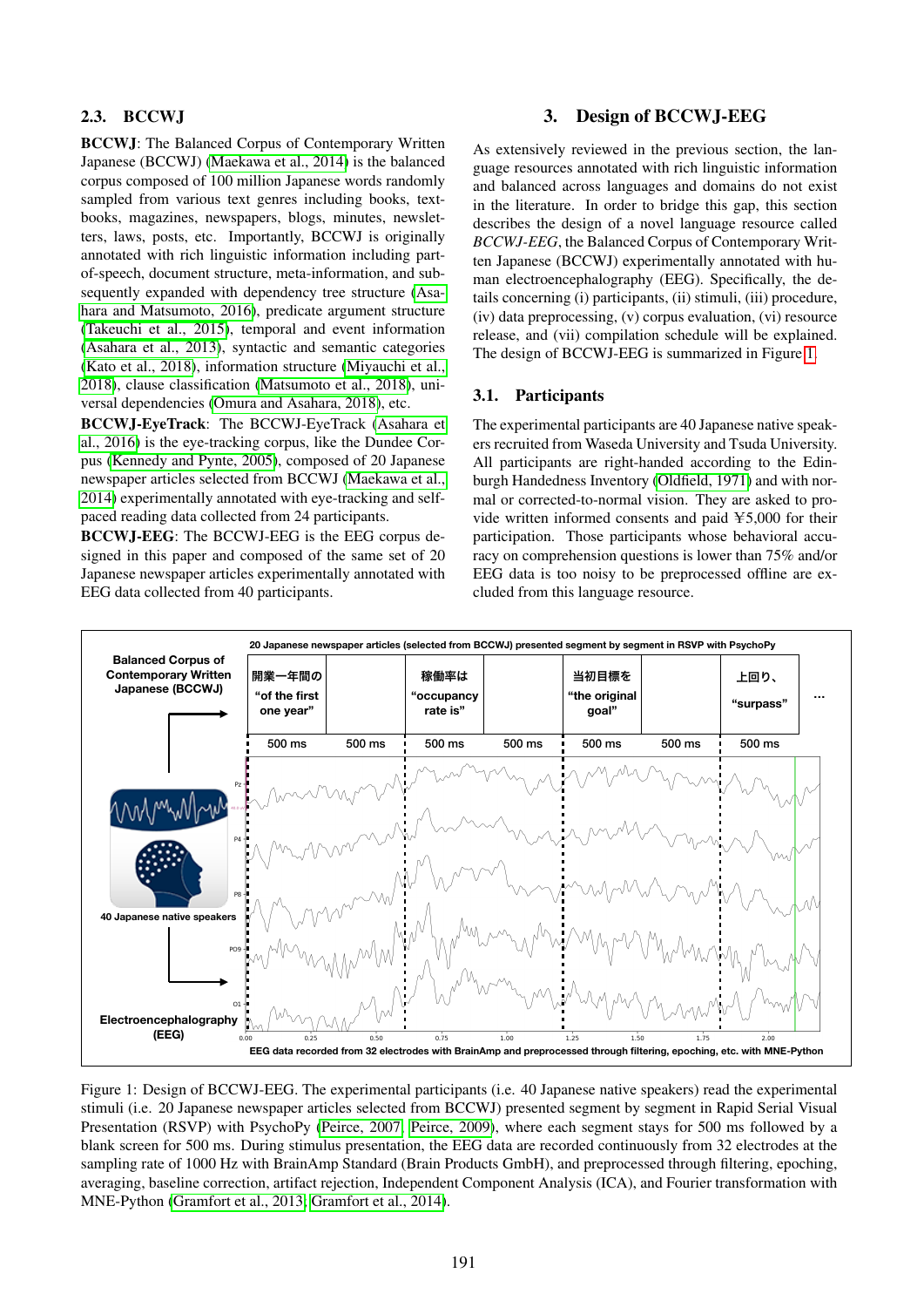## 2.3. BCCWJ

BCCWJ: The Balanced Corpus of Contemporary Written Japanese (BCCWJ) [\(Maekawa et al., 2014\)](#page-6-7) is the balanced corpus composed of 100 million Japanese words randomly sampled from various text genres including books, textbooks, magazines, newspapers, blogs, minutes, newsletters, laws, posts, etc. Importantly, BCCWJ is originally annotated with rich linguistic information including partof-speech, document structure, meta-information, and subsequently expanded with dependency tree structure [\(Asa](#page-5-24)[hara and Matsumoto, 2016\)](#page-5-24), predicate argument structure [\(Takeuchi et al., 2015\)](#page-6-8), temporal and event information [\(Asahara et al., 2013\)](#page-5-25), syntactic and semantic categories [\(Kato et al., 2018\)](#page-5-26), information structure [\(Miyauchi et al.,](#page-6-9) [2018\)](#page-6-9), clause classification [\(Matsumoto et al., 2018\)](#page-6-10), universal dependencies [\(Omura and Asahara, 2018\)](#page-6-11), etc.

BCCWJ-EyeTrack: The BCCWJ-EyeTrack [\(Asahara et](#page-5-19) [al., 2016\)](#page-5-19) is the eye-tracking corpus, like the Dundee Corpus [\(Kennedy and Pynte, 2005\)](#page-5-14), composed of 20 Japanese newspaper articles selected from BCCWJ [\(Maekawa et al.,](#page-6-7) [2014\)](#page-6-7) experimentally annotated with eye-tracking and selfpaced reading data collected from 24 participants.

BCCWJ-EEG: The BCCWJ-EEG is the EEG corpus designed in this paper and composed of the same set of 20 Japanese newspaper articles experimentally annotated with EEG data collected from 40 participants.

# 3. Design of BCCWJ-EEG

As extensively reviewed in the previous section, the language resources annotated with rich linguistic information and balanced across languages and domains do not exist in the literature. In order to bridge this gap, this section describes the design of a novel language resource called *BCCWJ-EEG*, the Balanced Corpus of Contemporary Written Japanese (BCCWJ) experimentally annotated with human electroencephalography (EEG). Specifically, the details concerning (i) participants, (ii) stimuli, (iii) procedure, (iv) data preprocessing, (v) corpus evaluation, (vi) resource release, and (vii) compilation schedule will be explained. The design of BCCWJ-EEG is summarized in Figure [1.](#page-3-0)

#### 3.1. Participants

The experimental participants are 40 Japanese native speakers recruited from Waseda University and Tsuda University. All participants are right-handed according to the Edinburgh Handedness Inventory [\(Oldfield, 1971\)](#page-6-12) and with normal or corrected-to-normal vision. They are asked to provide written informed consents and paid  $\yen$ 5,000 for their participation. Those participants whose behavioral accuracy on comprehension questions is lower than 75% and/or EEG data is too noisy to be preprocessed offline are excluded from this language resource.



<span id="page-3-0"></span>Figure 1: Design of BCCWJ-EEG. The experimental participants (i.e. 40 Japanese native speakers) read the experimental stimuli (i.e. 20 Japanese newspaper articles selected from BCCWJ) presented segment by segment in Rapid Serial Visual Presentation (RSVP) with PsychoPy [\(Peirce, 2007;](#page-6-13) [Peirce, 2009\)](#page-6-14), where each segment stays for 500 ms followed by a blank screen for 500 ms. During stimulus presentation, the EEG data are recorded continuously from 32 electrodes at the sampling rate of 1000 Hz with BrainAmp Standard (Brain Products GmbH), and preprocessed through filtering, epoching, averaging, baseline correction, artifact rejection, Independent Component Analysis (ICA), and Fourier transformation with MNE-Python [\(Gramfort et al., 2013;](#page-5-27) [Gramfort et al., 2014\)](#page-5-28).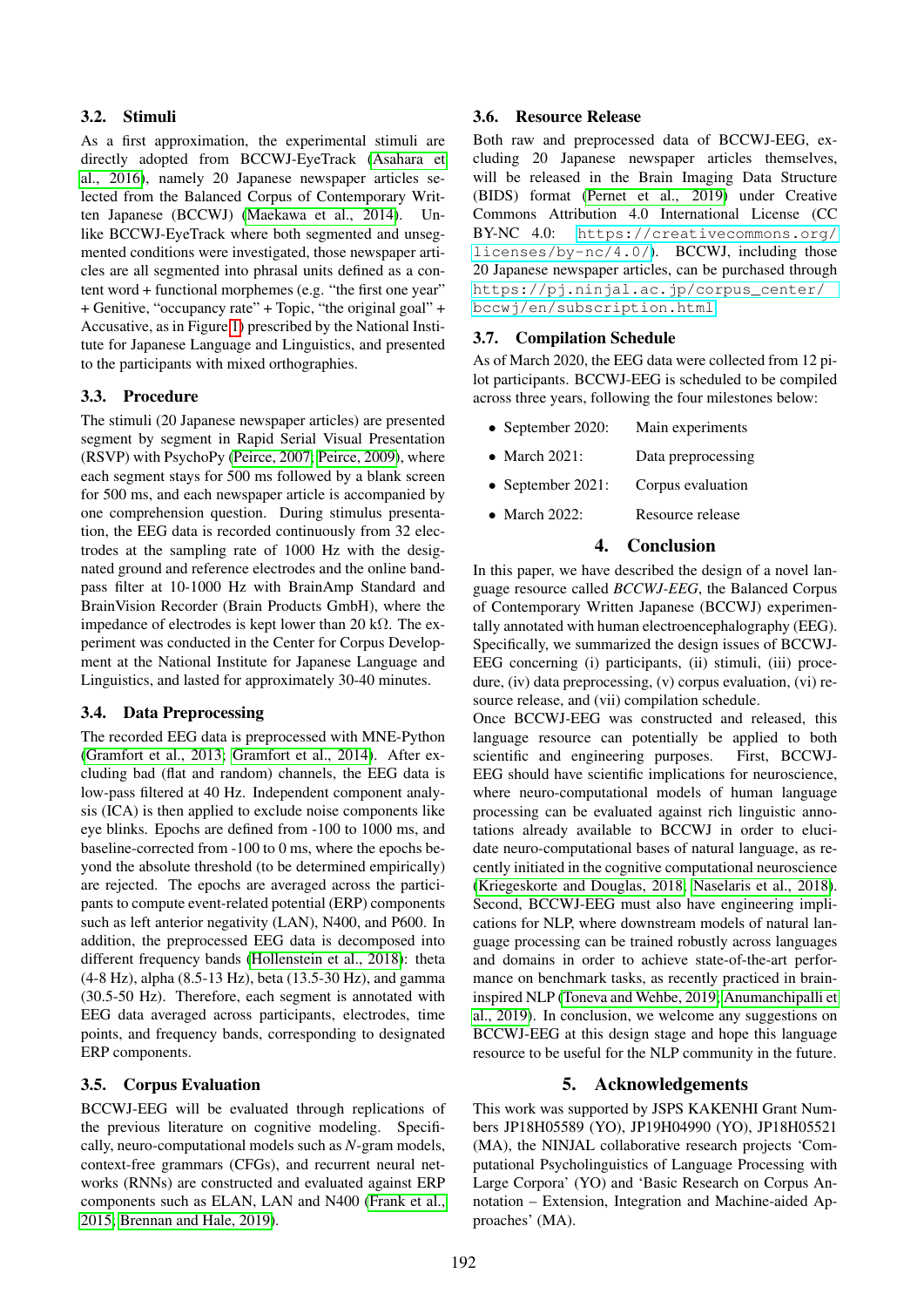### 3.2. Stimuli

As a first approximation, the experimental stimuli are directly adopted from BCCWJ-EyeTrack [\(Asahara et](#page-5-19) [al., 2016\)](#page-5-19), namely 20 Japanese newspaper articles selected from the Balanced Corpus of Contemporary Written Japanese (BCCWJ) [\(Maekawa et al., 2014\)](#page-6-7). Unlike BCCWJ-EyeTrack where both segmented and unsegmented conditions were investigated, those newspaper articles are all segmented into phrasal units defined as a content word + functional morphemes (e.g. "the first one year" + Genitive, "occupancy rate" + Topic, "the original goal" + Accusative, as in Figure [1\)](#page-3-0) prescribed by the National Institute for Japanese Language and Linguistics, and presented to the participants with mixed orthographies.

### 3.3. Procedure

The stimuli (20 Japanese newspaper articles) are presented segment by segment in Rapid Serial Visual Presentation (RSVP) with PsychoPy [\(Peirce, 2007;](#page-6-13) [Peirce, 2009\)](#page-6-14), where each segment stays for 500 ms followed by a blank screen for 500 ms, and each newspaper article is accompanied by one comprehension question. During stimulus presentation, the EEG data is recorded continuously from 32 electrodes at the sampling rate of 1000 Hz with the designated ground and reference electrodes and the online bandpass filter at 10-1000 Hz with BrainAmp Standard and BrainVision Recorder (Brain Products GmbH), where the impedance of electrodes is kept lower than 20 kΩ. The experiment was conducted in the Center for Corpus Development at the National Institute for Japanese Language and Linguistics, and lasted for approximately 30-40 minutes.

#### 3.4. Data Preprocessing

The recorded EEG data is preprocessed with MNE-Python [\(Gramfort et al., 2013;](#page-5-27) [Gramfort et al., 2014\)](#page-5-28). After excluding bad (flat and random) channels, the EEG data is low-pass filtered at 40 Hz. Independent component analysis (ICA) is then applied to exclude noise components like eye blinks. Epochs are defined from -100 to 1000 ms, and baseline-corrected from -100 to 0 ms, where the epochs beyond the absolute threshold (to be determined empirically) are rejected. The epochs are averaged across the participants to compute event-related potential (ERP) components such as left anterior negativity (LAN), N400, and P600. In addition, the preprocessed EEG data is decomposed into different frequency bands [\(Hollenstein et al., 2018\)](#page-5-18): theta (4-8 Hz), alpha (8.5-13 Hz), beta (13.5-30 Hz), and gamma (30.5-50 Hz). Therefore, each segment is annotated with EEG data averaged across participants, electrodes, time points, and frequency bands, corresponding to designated ERP components.

# 3.5. Corpus Evaluation

BCCWJ-EEG will be evaluated through replications of the previous literature on cognitive modeling. Specifically, neuro-computational models such as *N*-gram models, context-free grammars (CFGs), and recurrent neural networks (RNNs) are constructed and evaluated against ERP components such as ELAN, LAN and N400 [\(Frank et al.,](#page-5-8) [2015;](#page-5-8) [Brennan and Hale, 2019\)](#page-5-9).

### 3.6. Resource Release

Both raw and preprocessed data of BCCWJ-EEG, excluding 20 Japanese newspaper articles themselves, will be released in the Brain Imaging Data Structure (BIDS) format [\(Pernet et al., 2019\)](#page-6-15) under Creative Commons Attribution 4.0 International License (CC BY-NC 4.0: [https://creativecommons.org/](https://creativecommons.org/licenses/by-nc/4.0/) [licenses/by-nc/4.0/](https://creativecommons.org/licenses/by-nc/4.0/)). BCCWJ, including those 20 Japanese newspaper articles, can be purchased through [https://pj.ninjal.ac.jp/corpus\\_center/](https://pj.ninjal.ac.jp/corpus_center/bccwj/en/subscription.html) [bccwj/en/subscription.html](https://pj.ninjal.ac.jp/corpus_center/bccwj/en/subscription.html).

# 3.7. Compilation Schedule

As of March 2020, the EEG data were collected from 12 pilot participants. BCCWJ-EEG is scheduled to be compiled across three years, following the four milestones below:

- September 2020: Main experiments
- March 2021: Data preprocessing
- September 2021: Corpus evaluation
- March 2022: Resource release

### 4. Conclusion

In this paper, we have described the design of a novel language resource called *BCCWJ-EEG*, the Balanced Corpus of Contemporary Written Japanese (BCCWJ) experimentally annotated with human electroencephalography (EEG). Specifically, we summarized the design issues of BCCWJ-EEG concerning (i) participants, (ii) stimuli, (iii) procedure, (iv) data preprocessing, (v) corpus evaluation, (vi) resource release, and (vii) compilation schedule.

Once BCCWJ-EEG was constructed and released, this language resource can potentially be applied to both scientific and engineering purposes. First, BCCWJ-EEG should have scientific implications for neuroscience, where neuro-computational models of human language processing can be evaluated against rich linguistic annotations already available to BCCWJ in order to elucidate neuro-computational bases of natural language, as recently initiated in the cognitive computational neuroscience [\(Kriegeskorte and Douglas, 2018;](#page-6-16) [Naselaris et al., 2018\)](#page-6-17). Second, BCCWJ-EEG must also have engineering implications for NLP, where downstream models of natural language processing can be trained robustly across languages and domains in order to achieve state-of-the-art performance on benchmark tasks, as recently practiced in braininspired NLP [\(Toneva and Wehbe, 2019;](#page-6-3) [Anumanchipalli et](#page-5-13) [al., 2019\)](#page-5-13). In conclusion, we welcome any suggestions on BCCWJ-EEG at this design stage and hope this language resource to be useful for the NLP community in the future.

# 5. Acknowledgements

This work was supported by JSPS KAKENHI Grant Numbers JP18H05589 (YO), JP19H04990 (YO), JP18H05521 (MA), the NINJAL collaborative research projects 'Computational Psycholinguistics of Language Processing with Large Corpora' (YO) and 'Basic Research on Corpus Annotation – Extension, Integration and Machine-aided Approaches' (MA).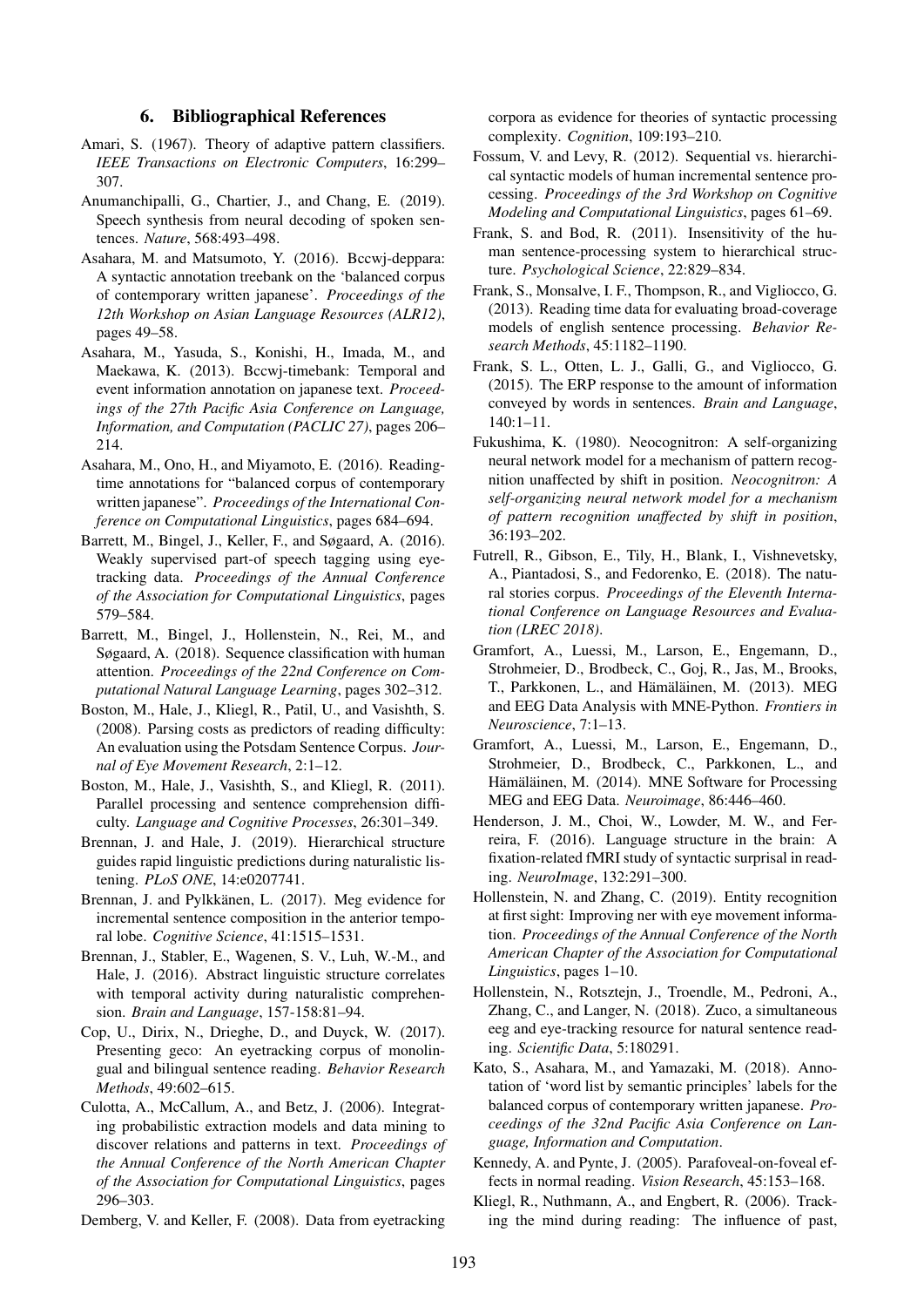#### 6. Bibliographical References

- <span id="page-5-6"></span>Amari, S. (1967). Theory of adaptive pattern classifiers. *IEEE Transactions on Electronic Computers*, 16:299– 307.
- <span id="page-5-13"></span>Anumanchipalli, G., Chartier, J., and Chang, E. (2019). Speech synthesis from neural decoding of spoken sentences. *Nature*, 568:493–498.
- <span id="page-5-24"></span>Asahara, M. and Matsumoto, Y. (2016). Bccwj-deppara: A syntactic annotation treebank on the 'balanced corpus of contemporary written japanese'. *Proceedings of the 12th Workshop on Asian Language Resources (ALR12)*, pages 49–58.
- <span id="page-5-25"></span>Asahara, M., Yasuda, S., Konishi, H., Imada, M., and Maekawa, K. (2013). Bccwj-timebank: Temporal and event information annotation on japanese text. *Proceedings of the 27th Pacific Asia Conference on Language, Information, and Computation (PACLIC 27)*, pages 206– 214.
- <span id="page-5-19"></span>Asahara, M., Ono, H., and Miyamoto, E. (2016). Readingtime annotations for "balanced corpus of contemporary written japanese". *Proceedings of the International Conference on Computational Linguistics*, pages 684–694.
- <span id="page-5-3"></span>Barrett, M., Bingel, J., Keller, F., and Søgaard, A. (2016). Weakly supervised part-of speech tagging using eyetracking data. *Proceedings of the Annual Conference of the Association for Computational Linguistics*, pages 579–584.
- <span id="page-5-5"></span>Barrett, M., Bingel, J., Hollenstein, N., Rei, M., and Søgaard, A. (2018). Sequence classification with human attention. *Proceedings of the 22nd Conference on Computational Natural Language Learning*, pages 302–312.
- <span id="page-5-21"></span>Boston, M., Hale, J., Kliegl, R., Patil, U., and Vasishth, S. (2008). Parsing costs as predictors of reading difficulty: An evaluation using the Potsdam Sentence Corpus. *Journal of Eye Movement Research*, 2:1–12.
- <span id="page-5-22"></span>Boston, M., Hale, J., Vasishth, S., and Kliegl, R. (2011). Parallel processing and sentence comprehension difficulty. *Language and Cognitive Processes*, 26:301–349.
- <span id="page-5-9"></span>Brennan, J. and Hale, J. (2019). Hierarchical structure guides rapid linguistic predictions during naturalistic listening. *PLoS ONE*, 14:e0207741.
- <span id="page-5-12"></span>Brennan, J. and Pylkkänen, L. (2017). Meg evidence for incremental sentence composition in the anterior temporal lobe. *Cognitive Science*, 41:1515–1531.
- <span id="page-5-10"></span>Brennan, J., Stabler, E., Wagenen, S. V., Luh, W.-M., and Hale, J. (2016). Abstract linguistic structure correlates with temporal activity during naturalistic comprehension. *Brain and Language*, 157-158:81–94.
- <span id="page-5-17"></span>Cop, U., Dirix, N., Drieghe, D., and Duyck, W. (2017). Presenting geco: An eyetracking corpus of monolingual and bilingual sentence reading. *Behavior Research Methods*, 49:602–615.
- <span id="page-5-23"></span>Culotta, A., McCallum, A., and Betz, J. (2006). Integrating probabilistic extraction models and data mining to discover relations and patterns in text. *Proceedings of the Annual Conference of the North American Chapter of the Association for Computational Linguistics*, pages 296–303.
- <span id="page-5-20"></span>Demberg, V. and Keller, F. (2008). Data from eyetracking

corpora as evidence for theories of syntactic processing complexity. *Cognition*, 109:193–210.

- <span id="page-5-2"></span>Fossum, V. and Levy, R. (2012). Sequential vs. hierarchical syntactic models of human incremental sentence processing. *Proceedings of the 3rd Workshop on Cognitive Modeling and Computational Linguistics*, pages 61–69.
- <span id="page-5-1"></span>Frank, S. and Bod, R. (2011). Insensitivity of the human sentence-processing system to hierarchical structure. *Psychological Science*, 22:829–834.
- <span id="page-5-0"></span>Frank, S., Monsalve, I. F., Thompson, R., and Vigliocco, G. (2013). Reading time data for evaluating broad-coverage models of english sentence processing. *Behavior Research Methods*, 45:1182–1190.
- <span id="page-5-8"></span>Frank, S. L., Otten, L. J., Galli, G., and Vigliocco, G. (2015). The ERP response to the amount of information conveyed by words in sentences. *Brain and Language*, 140:1–11.
- <span id="page-5-7"></span>Fukushima, K. (1980). Neocognitron: A self-organizing neural network model for a mechanism of pattern recognition unaffected by shift in position. *Neocognitron: A self-organizing neural network model for a mechanism of pattern recognition unaffected by shift in position*, 36:193–202.
- <span id="page-5-16"></span>Futrell, R., Gibson, E., Tily, H., Blank, I., Vishnevetsky, A., Piantadosi, S., and Fedorenko, E. (2018). The natural stories corpus. *Proceedings of the Eleventh International Conference on Language Resources and Evaluation (LREC 2018)*.
- <span id="page-5-27"></span>Gramfort, A., Luessi, M., Larson, E., Engemann, D., Strohmeier, D., Brodbeck, C., Goj, R., Jas, M., Brooks, T., Parkkonen, L., and Hämäläinen, M. (2013). MEG and EEG Data Analysis with MNE-Python. *Frontiers in Neuroscience*, 7:1–13.
- <span id="page-5-28"></span>Gramfort, A., Luessi, M., Larson, E., Engemann, D., Strohmeier, D., Brodbeck, C., Parkkonen, L., and Hämäläinen, M. (2014). MNE Software for Processing MEG and EEG Data. *Neuroimage*, 86:446–460.
- <span id="page-5-11"></span>Henderson, J. M., Choi, W., Lowder, M. W., and Ferreira, F. (2016). Language structure in the brain: A fixation-related fMRI study of syntactic surprisal in reading. *NeuroImage*, 132:291–300.
- <span id="page-5-4"></span>Hollenstein, N. and Zhang, C. (2019). Entity recognition at first sight: Improving ner with eye movement information. *Proceedings of the Annual Conference of the North American Chapter of the Association for Computational Linguistics*, pages 1–10.
- <span id="page-5-18"></span>Hollenstein, N., Rotsztejn, J., Troendle, M., Pedroni, A., Zhang, C., and Langer, N. (2018). Zuco, a simultaneous eeg and eye-tracking resource for natural sentence reading. *Scientific Data*, 5:180291.
- <span id="page-5-26"></span>Kato, S., Asahara, M., and Yamazaki, M. (2018). Annotation of 'word list by semantic principles' labels for the balanced corpus of contemporary written japanese. *Proceedings of the 32nd Pacific Asia Conference on Language, Information and Computation*.
- <span id="page-5-14"></span>Kennedy, A. and Pynte, J. (2005). Parafoveal-on-foveal effects in normal reading. *Vision Research*, 45:153–168.
- <span id="page-5-15"></span>Kliegl, R., Nuthmann, A., and Engbert, R. (2006). Tracking the mind during reading: The influence of past,